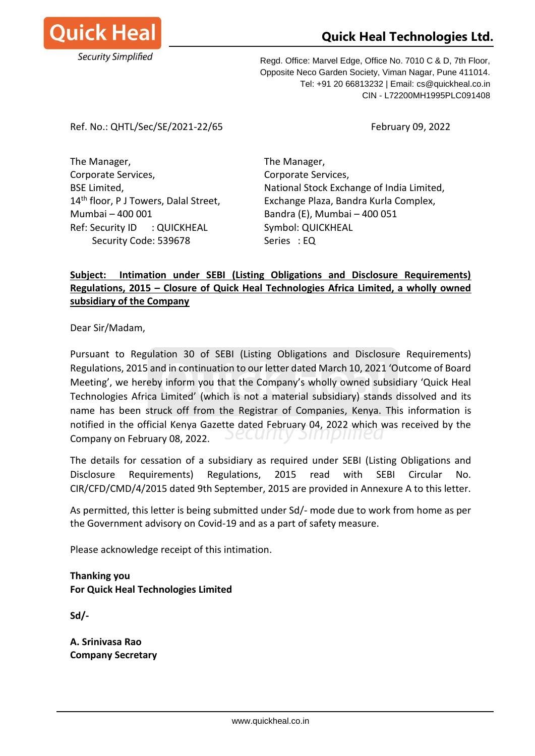

## **Quick Heal Technologies Ltd.**

Regd. Office: Marvel Edge, Office No. 7010 C & D, 7th Floor, Opposite Neco Garden Society, Viman Nagar, Pune 411014. Tel: +91 20 66813232 | Email: cs@quickheal.co.in CIN - L72200MH1995PLC091408

Ref. No.: QHTL/Sec/SE/2021-22/65 February 09, 2022

The Manager, The Manager, Corporate Services, Corporate Services, Mumbai – 400 001 Bandra (E), Mumbai – 400 051 Ref: Security ID : QUICKHEAL Symbol: QUICKHEAL Security Code: 539678 Series : EQ

BSE Limited, National Stock Exchange of India Limited, 14<sup>th</sup> floor, P J Towers, Dalal Street, Exchange Plaza, Bandra Kurla Complex,

## **Subject: Intimation under SEBI (Listing Obligations and Disclosure Requirements) Regulations, 2015 – Closure of Quick Heal Technologies Africa Limited, a wholly owned subsidiary of the Company**

Dear Sir/Madam,

Pursuant to Regulation 30 of SEBI (Listing Obligations and Disclosure Requirements) Regulations, 2015 and in continuation to our letter dated March 10, 2021 'Outcome of Board Meeting', we hereby inform you that the Company's wholly owned subsidiary 'Quick Heal Technologies Africa Limited' (which is not a material subsidiary) stands dissolved and its name has been struck off from the Registrar of Companies, Kenya. This information is notified in the official Kenya Gazette dated February 04, 2022 which was received by the **DECUITLY** энпринеа Company on February 08, 2022.

The details for cessation of a subsidiary as required under SEBI (Listing Obligations and Disclosure Requirements) Regulations, 2015 read with SEBI Circular No. CIR/CFD/CMD/4/2015 dated 9th September, 2015 are provided in Annexure A to this letter.

As permitted, this letter is being submitted under Sd/- mode due to work from home as per the Government advisory on Covid-19 and as a part of safety measure.

Please acknowledge receipt of this intimation.

**Thanking you For Quick Heal Technologies Limited**

**Sd/-**

**A. Srinivasa Rao Company Secretary**